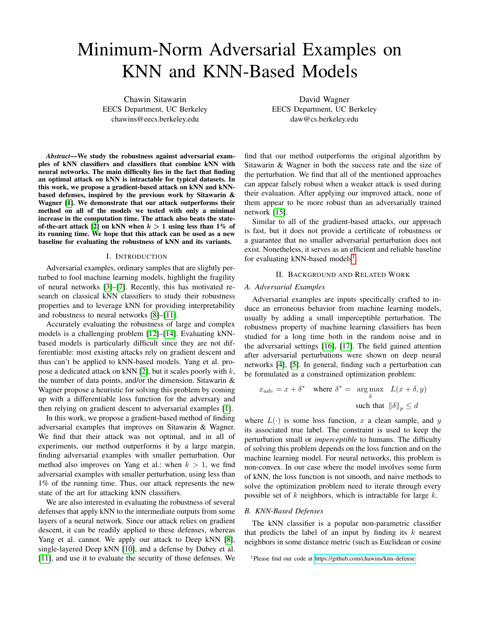# Minimum-Norm Adversarial Examples on KNN and KNN-Based Models

Chawin Sitawarin EECS Department, UC Berkeley chawins@eecs.berkeley.edu

David Wagner EECS Department, UC Berkeley daw@cs.berkeley.edu

*Abstract*—We study the robustness against adversarial examples of kNN classifiers and classifiers that combine kNN with neural networks. The main difficulty lies in the fact that finding an optimal attack on kNN is intractable for typical datasets. In this work, we propose a gradient-based attack on kNN and kNNbased defenses, inspired by the previous work by Sitawarin & Wagner [\[1\]](#page-5-0). We demonstrate that our attack outperforms their method on all of the models we tested with only a minimal increase in the computation time. The attack also beats the state-of-the-art attack [\[2\]](#page-5-1) on kNN when  $k > 1$  using less than 1% of its running time. We hope that this attack can be used as a new baseline for evaluating the robustness of kNN and its variants.

#### I. INTRODUCTION

Adversarial examples, ordinary samples that are slightly perturbed to fool machine learning models, highlight the fragility of neural networks [\[3\]](#page-5-2)–[\[7\]](#page-5-3). Recently, this has motivated research on classical kNN classifiers to study their robustness properties and to leverage kNN for providing interpretability and robustness to neural networks [\[8\]](#page-5-4)–[\[11\]](#page-6-0).

Accurately evaluating the robustness of large and complex models is a challenging problem [\[12\]](#page-6-1)–[\[14\]](#page-6-2). Evaluating kNNbased models is particularly difficult since they are not differentiable: most existing attacks rely on gradient descent and thus can't be applied to kNN-based models. Yang et al. pro-pose a dedicated attack on kNN [\[2\]](#page-5-1), but it scales poorly with  $k$ , the number of data points, and/or the dimension. Sitawarin & Wagner propose a heuristic for solving this problem by coming up with a differentiable loss function for the adversary and then relying on gradient descent to adversarial examples [\[1\]](#page-5-0).

In this work, we propose a gradient-based method of finding adversarial examples that improves on Sitawarin & Wagner. We find that their attack was not optimal, and in all of experiments, our method outperforms it by a large margin, finding adversarial examples with smaller perturbation. Our method also improves on Yang et al.: when  $k > 1$ , we find adversarial examples with smaller perturbation, using less than 1% of the running time. Thus, our attack represents the new state of the art for attacking kNN classifiers.

We are also interested in evaluating the robustness of several defenses that apply kNN to the intermediate outputs from some layers of a neural network. Since our attack relies on gradient descent, it can be readily applied to these defenses, whereas Yang et al. cannot. We apply our attack to Deep kNN [\[8\]](#page-5-4), single-layered Deep kNN [\[10\]](#page-6-3), and a defense by Dubey et al. [\[11\]](#page-6-0), and use it to evaluate the security of those defenses. We

find that our method outperforms the original algorithm by Sitawarin & Wagner in both the success rate and the size of the perturbation. We find that all of the mentioned approaches can appear falsely robust when a weaker attack is used during their evaluation. After applying our improved attack, none of them appear to be more robust than an adversarially trained network [\[15\]](#page-6-4).

Similar to all of the gradient-based attacks, our approach is fast, but it does not provide a certificate of robustness or a guarantee that no smaller adversarial perturbation does not exist. Nonetheless, it serves as an efficient and reliable baseline for evaluating kNN-based models<sup>[1](#page-0-0)</sup>.

### II. BACKGROUND AND RELATED WORK

#### *A. Adversarial Examples*

Adversarial examples are inputs specifically crafted to induce an erroneous behavior from machine learning models, usually by adding a small imperceptible perturbation. The robustness property of machine learning classifiers has been studied for a long time both in the random noise and in the adversarial settings [\[16\]](#page-6-5), [\[17\]](#page-6-6). The field gained attention after adversarial perturbations were shown on deep neural networks [\[4\]](#page-5-5), [\[5\]](#page-5-6). In general, finding such a perturbation can be formulated as a constrained optimization problem:

$$
x_{adv} = x + \delta^* \quad \text{where } \delta^* = \underset{\delta}{\arg \max} \quad L(x + \delta, y)
$$
  
such that  $\|\delta\|_p \le d$ 

where  $L(\cdot)$  is some loss function, x a clean sample, and y its associated true label. The constraint is used to keep the perturbation small or *imperceptible* to humans. The difficulty of solving this problem depends on the loss function and on the machine learning model. For neural networks, this problem is non-convex. In our case where the model involves some form of kNN, the loss function is not smooth, and naive methods to solve the optimization problem need to iterate through every possible set of  $k$  neighbors, which is intractable for large  $k$ .

# *B. KNN-Based Defenses*

The kNN classifier is a popular non-parametric classifier that predicts the label of an input by finding its  $k$  nearest neighbors in some distance metric (such as Euclidean or cosine

<span id="page-0-0"></span><sup>1</sup>Please find our code at<https://github.com/chawins/knn-defense>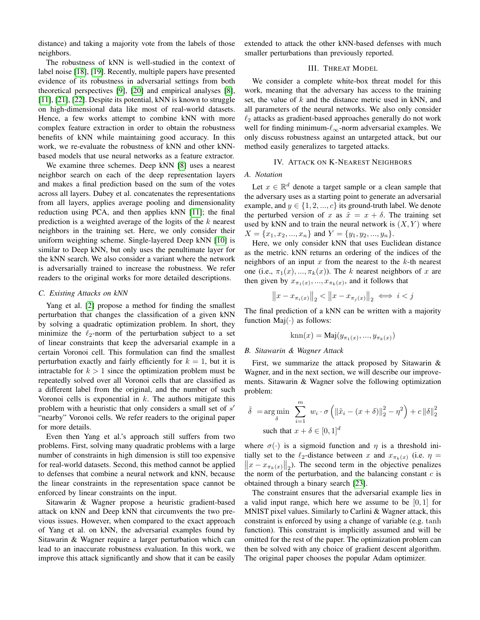distance) and taking a majority vote from the labels of those neighbors.

The robustness of kNN is well-studied in the context of label noise [\[18\]](#page-6-7), [\[19\]](#page-6-8). Recently, multiple papers have presented evidence of its robustness in adversarial settings from both theoretical perspectives [\[9\]](#page-6-9), [\[20\]](#page-6-10) and empirical analyses [\[8\]](#page-5-4), [\[11\]](#page-6-0), [\[21\]](#page-6-11), [\[22\]](#page-6-12). Despite its potential, kNN is known to struggle on high-dimensional data like most of real-world datasets. Hence, a few works attempt to combine kNN with more complex feature extraction in order to obtain the robustness benefits of kNN while maintaining good accuracy. In this work, we re-evaluate the robustness of kNN and other kNNbased models that use neural networks as a feature extractor.

We examine three schemes. Deep kNN [\[8\]](#page-5-4) uses a nearest neighbor search on each of the deep representation layers and makes a final prediction based on the sum of the votes across all layers. Dubey et al. concatenates the representations from all layers, applies average pooling and dimensionality reduction using PCA, and then applies kNN [\[11\]](#page-6-0); the final prediction is a weighted average of the logits of the  $k$  nearest neighbors in the training set. Here, we only consider their uniform weighting scheme. Single-layered Deep kNN [\[10\]](#page-6-3) is similar to Deep kNN, but only uses the penultimate layer for the kNN search. We also consider a variant where the network is adversarially trained to increase the robustness. We refer readers to the original works for more detailed descriptions.

# *C. Existing Attacks on kNN*

Yang et al. [\[2\]](#page-5-1) propose a method for finding the smallest perturbation that changes the classification of a given kNN by solving a quadratic optimization problem. In short, they minimize the  $\ell_2$ -norm of the perturbation subject to a set of linear constraints that keep the adversarial example in a certain Voronoi cell. This formulation can find the smallest perturbation exactly and fairly efficiently for  $k = 1$ , but it is intractable for  $k > 1$  since the optimization problem must be repeatedly solved over all Voronoi cells that are classified as a different label from the original, and the number of such Voronoi cells is exponential in  $k$ . The authors mitigate this problem with a heuristic that only considers a small set of  $s'$ "nearby" Voronoi cells. We refer readers to the original paper for more details.

Even then Yang et al.'s approach still suffers from two problems. First, solving many quadratic problems with a large number of constraints in high dimension is still too expensive for real-world datasets. Second, this method cannot be applied to defenses that combine a neural network and kNN, because the linear constraints in the representation space cannot be enforced by linear constraints on the input.

Sitawarin & Wagner propose a heuristic gradient-based attack on kNN and Deep kNN that circumvents the two previous issues. However, when compared to the exact approach of Yang et al. on kNN, the adversarial examples found by Sitawarin & Wagner require a larger perturbation which can lead to an inaccurate robustness evaluation. In this work, we improve this attack significantly and show that it can be easily extended to attack the other kNN-based defenses with much smaller perturbations than previously reported.

# III. THREAT MODEL

We consider a complete white-box threat model for this work, meaning that the adversary has access to the training set, the value of  $k$  and the distance metric used in kNN, and all parameters of the neural networks. We also only consider  $\ell_2$  attacks as gradient-based approaches generally do not work well for finding minimum- $\ell_{\infty}$ -norm adversarial examples. We only discuss robustness against an untargeted attack, but our method easily generalizes to targeted attacks.

# IV. ATTACK ON K-NEAREST NEIGHBORS

#### *A. Notation*

Let  $x \in \mathbb{R}^d$  denote a target sample or a clean sample that the adversary uses as a starting point to generate an adversarial example, and  $y \in \{1, 2, ..., c\}$  its ground-truth label. We denote the perturbed version of x as  $\hat{x} = x + \delta$ . The training set used by kNN and to train the neural network is  $(X, Y)$  where  $X = \{x_1, x_2, ..., x_n\}$  and  $Y = \{y_1, y_2, ..., y_n\}.$ 

Here, we only consider kNN that uses Euclidean distance as the metric. kNN returns an ordering of the indices of the neighbors of an input  $x$  from the nearest to the  $k$ -th nearest one (i.e.,  $\pi_1(x), ..., \pi_k(x)$ ). The k nearest neighbors of x are then given by  $x_{\pi_1(x)},..., x_{\pi_k(x)}$ , and it follows that

$$
||x - x_{\pi_i(x)}||_2 < ||x - x_{\pi_j(x)}||_2 \iff i < j
$$

The final prediction of a kNN can be written with a majority function  $\text{Maj}(\cdot)$  as follows:

$$
knn(x) = Maj(y_{\pi_1(x)}, ..., y_{\pi_k(x)})
$$

#### *B. Sitawarin & Wagner Attack*

First, we summarize the attack proposed by Sitawarin & Wagner, and in the next section, we will describe our improvements. Sitawarin & Wagner solve the following optimization problem:

$$
\hat{\delta} = \underset{\delta}{\arg\min} \sum_{i=1}^{m} w_i \cdot \sigma \left( \| \tilde{x}_i - (x + \delta) \|_2^2 - \eta^2 \right) + c \left\| \delta \right\|_2^2
$$
\nsuch that  $x + \delta \in [0, 1]^d$ 

where  $\sigma(\cdot)$  is a sigmoid function and  $\eta$  is a threshold initially set to the  $\ell_2$ -distance between x and  $x_{\pi_k}(x)$  (i.e.  $\eta = ||x - x_{\pi_k}(x)||_2$ ). The second term in the objective penalizes  $||x - x_{\pi_k(x)}||_2$ ). The second term in the objective penalizes the norm of the perturbation, and the balancing constant  $c$  is obtained through a binary search [\[23\]](#page-6-13).

The constraint ensures that the adversarial example lies in a valid input range, which here we assume to be  $[0, 1]$  for MNIST pixel values. Similarly to Carlini & Wagner attack, this constraint is enforced by using a change of variable (e.g. tanh function). This constraint is implicitly assumed and will be omitted for the rest of the paper. The optimization problem can then be solved with any choice of gradient descent algorithm. The original paper chooses the popular Adam optimizer.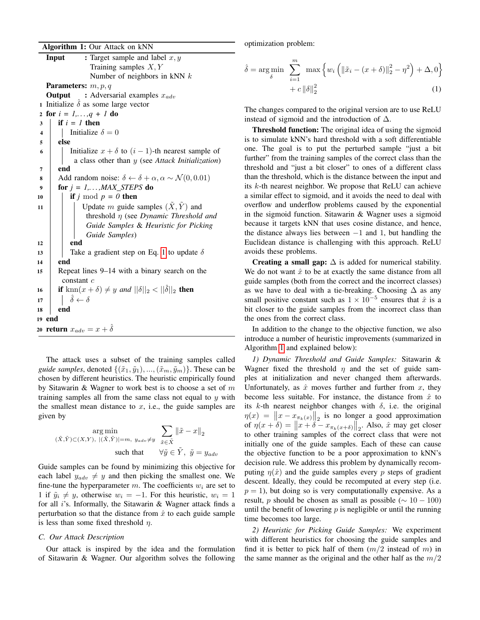Algorithm 1: Our Attack on kNN

| : Target sample and label $x, y$<br>Input                                                    |  |  |
|----------------------------------------------------------------------------------------------|--|--|
| Training samples $X, Y$                                                                      |  |  |
| Number of neighbors in kNN $k$                                                               |  |  |
| <b>Parameters:</b> $m, p, q$                                                                 |  |  |
| <b>Output</b> : Adversarial examples $x_{adv}$                                               |  |  |
| 1 Initialize $\hat{\delta}$ as some large vector                                             |  |  |
| 2 for $i = 1,,q + 1$ do                                                                      |  |  |
| if $i = 1$ then<br>3                                                                         |  |  |
| Initialize $\delta = 0$<br>4                                                                 |  |  |
| else<br>5                                                                                    |  |  |
| Initialize $x + \delta$ to $(i - 1)$ -th nearest sample of<br>6                              |  |  |
| a class other than $y$ (see Attack Initialization)                                           |  |  |
| end<br>7                                                                                     |  |  |
| Add random noise: $\delta \leftarrow \delta + \alpha, \alpha \sim \mathcal{N}(0, 0.01)$<br>8 |  |  |
| for $j = 1, \ldots, MAX\_STEPS$ do<br>9                                                      |  |  |
| if j mod $p = 0$ then<br>10                                                                  |  |  |
| Update m guide samples $(\tilde{X}, \tilde{Y})$ and<br>11                                    |  |  |
| threshold $\eta$ (see Dynamic Threshold and                                                  |  |  |
| Guide Samples & Heuristic for Picking                                                        |  |  |
| Guide Samples)                                                                               |  |  |
| end<br>12                                                                                    |  |  |
| Take a gradient step on Eq. 1 to update $\delta$<br>13                                       |  |  |
| end<br>14                                                                                    |  |  |
| Repeat lines 9-14 with a binary search on the<br>15                                          |  |  |
| constant $c$                                                                                 |  |  |
| if $\text{km}(x+\delta) \neq y$ and $  \delta  _2 <   \hat{\delta}  _2$ then<br>16           |  |  |
| $\hat{\delta} \leftarrow \delta$<br>17                                                       |  |  |
| end<br>18                                                                                    |  |  |
| 19 end                                                                                       |  |  |
| 20 <b>return</b> $x_{adv} = x + \hat{\delta}$                                                |  |  |

<span id="page-2-1"></span>The attack uses a subset of the training samples called *guide samples*, denoted  $\{(\tilde{x}_1, \tilde{y}_1), ..., (\tilde{x}_m, \tilde{y}_m)\}.$  These can be chosen by different heuristics. The heuristic empirically found by Sitawarin & Wagner to work best is to choose a set of  $m$ training samples all from the same class not equal to  $y$  with the smallest mean distance to  $x$ , i.e., the guide samples are given by

$$
\argmin_{(\tilde{X}, \tilde{Y}) \subset (X, Y), \ |\ (\tilde{X}, \tilde{Y})| = m, \ y_{adv} \neq y} \sum_{\tilde{x} \in \tilde{X}} ||\tilde{x} - x||_2
$$
  
such that  $\forall \tilde{y} \in \tilde{Y}, \ \tilde{y} = y_{adv}$ 

Guide samples can be found by minimizing this objective for each label  $y_{adv} \neq y$  and then picking the smallest one. We fine-tune the hyperparameter  $m$ . The coefficients  $w_i$  are set to 1 if  $\tilde{y}_i \neq y$ , otherwise  $w_i = -1$ . For this heuristic,  $w_i = 1$ for all i's. Informally, the Sitawarin & Wagner attack finds a perturbation so that the distance from  $\hat{x}$  to each guide sample is less than some fixed threshold  $\eta$ .

# *C. Our Attack Description*

Our attack is inspired by the idea and the formulation of Sitawarin & Wagner. Our algorithm solves the following optimization problem:

<span id="page-2-0"></span>
$$
\hat{\delta} = \underset{\delta}{\arg\min} \sum_{i=1}^{m} \max \left\{ w_i \left( \| \tilde{x}_i - (x + \delta) \|_2^2 - \eta^2 \right) + \Delta, 0 \right\} + c \left\| \delta \right\|_2^2 \tag{1}
$$

The changes compared to the original version are to use ReLU instead of sigmoid and the introduction of  $\Delta$ .

Threshold function: The original idea of using the sigmoid is to simulate kNN's hard threshold with a soft differentiable one. The goal is to put the perturbed sample "just a bit further" from the training samples of the correct class than the threshold and "just a bit closer" to ones of a different class than the threshold, which is the distance between the input and its k-th nearest neighbor. We propose that ReLU can achieve a similar effect to sigmoid, and it avoids the need to deal with overflow and underflow problems caused by the exponential in the sigmoid function. Sitawarin & Wagner uses a sigmoid because it targets kNN that uses cosine distance, and hence, the distance always lies between  $-1$  and 1, but handling the Euclidean distance is challenging with this approach. ReLU avoids these problems.

Creating a small gap:  $\Delta$  is added for numerical stability. We do not want  $\hat{x}$  to be at exactly the same distance from all guide samples (both from the correct and the incorrect classes) as we have to deal with a tie-breaking. Choosing  $\Delta$  as any small positive constant such as  $1 \times 10^{-5}$  ensures that  $\hat{x}$  is a bit closer to the guide samples from the incorrect class than the ones from the correct class.

In addition to the change to the objective function, we also introduce a number of heuristic improvements (summarized in Algorithm [1](#page-2-1) and explained below):

*1) Dynamic Threshold and Guide Samples:* Sitawarin & Wagner fixed the threshold  $\eta$  and the set of guide samples at initialization and never changed them afterwards. Unfortunately, as  $\hat{x}$  moves further and further from  $x$ , they become less suitable. For instance, the distance from  $\hat{x}$  to its k-th nearest neighbor changes with  $\delta$ , i.e. the original  $\eta(x) = \|x - x_{\pi_k(x)}\|_2$  is no longer a good approximation of  $\eta(x+\delta) = ||x+\delta - x_{\pi_k(x+\delta)}||_2$ . Also,  $\hat{x}$  may get closer to other training samples of the correct class that were not initially one of the guide samples. Each of these can cause the objective function to be a poor approximation to kNN's decision rule. We address this problem by dynamically recomputing  $\eta(\hat{x})$  and the guide samples every p steps of gradient descent. Ideally, they could be recomputed at every step (i.e.  $p = 1$ ), but doing so is very computationally expensive. As a result, *p* should be chosen as small as possible ( $\sim 10 - 100$ ) until the benefit of lowering  $p$  is negligible or until the running time becomes too large.

*2) Heuristic for Picking Guide Samples:* We experiment with different heuristics for choosing the guide samples and find it is better to pick half of them  $(m/2)$  instead of m in the same manner as the original and the other half as the  $m/2$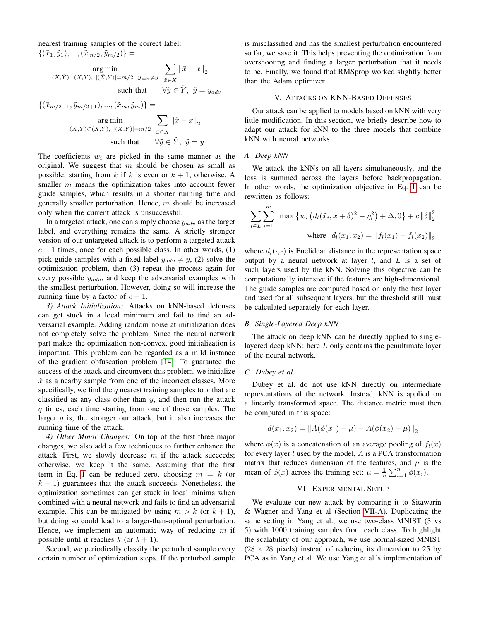nearest training samples of the correct label:  $\{(\tilde{x}_1, \tilde{y}_1), ..., (\tilde{x}_{m/2}, \tilde{y}_{m/2})\} =$ 

$$
\mathop{\arg\min}_{(\tilde{X}, \tilde{Y}) \subset (X, Y), \ |\ (\tilde{X}, \tilde{Y})| = m/2, \ y_{adv} \neq y} \sum_{\tilde{x} \in \tilde{X}} {\lVert \tilde{x} - x \rVert}_2 \\ \text{such that } \quad \forall \tilde{y} \in \tilde{Y}, \ \tilde{y} = y_{adv}
$$

$$
\{(\tilde{x}_{m/2+1}, \tilde{y}_{m/2+1}), ..., (\tilde{x}_m, \tilde{y}_m)\} =
$$
  
arg min  

$$
(\tilde{x}, \tilde{Y}) \subset (X, Y), |(\tilde{X}, \tilde{Y})| = m/2 \sum_{\tilde{x} \in \tilde{X}} ||\tilde{x} - x||_2
$$
  
such that 
$$
\forall \tilde{y} \in \tilde{Y}, \ \tilde{y} = y
$$

The coefficients  $w_i$  are picked in the same manner as the original. We suggest that  $m$  should be chosen as small as possible, starting from k if k is even or  $k + 1$ , otherwise. A smaller m means the optimization takes into account fewer guide samples, which results in a shorter running time and generally smaller perturbation. Hence,  $m$  should be increased only when the current attack is unsuccessful.

In a targeted attack, one can simply choose  $y_{adv}$  as the target label, and everything remains the same. A strictly stronger version of our untargeted attack is to perform a targeted attack  $c - 1$  times, once for each possible class. In other words, (1) pick guide samples with a fixed label  $y_{adv} \neq y$ , (2) solve the optimization problem, then (3) repeat the process again for every possible  $y_{adv}$ , and keep the adversarial examples with the smallest perturbation. However, doing so will increase the running time by a factor of  $c - 1$ .

*3) Attack Initialization:* Attacks on kNN-based defenses can get stuck in a local minimum and fail to find an adversarial example. Adding random noise at initialization does not completely solve the problem. Since the neural network part makes the optimization non-convex, good initialization is important. This problem can be regarded as a mild instance of the gradient obfuscation problem [\[14\]](#page-6-2). To guarantee the success of the attack and circumvent this problem, we initialize  $\hat{x}$  as a nearby sample from one of the incorrect classes. More specifically, we find the q nearest training samples to x that are classified as any class other than  $y$ , and then run the attack q times, each time starting from one of those samples. The larger  $q$  is, the stronger our attack, but it also increases the running time of the attack.

*4) Other Minor Changes:* On top of the first three major changes, we also add a few techniques to further enhance the attack. First, we slowly decrease  $m$  if the attack succeeds; otherwise, we keep it the same. Assuming that the first term in Eq. [1](#page-2-0) can be reduced zero, choosing  $m = k$  (or  $k + 1$ ) guarantees that the attack succeeds. Nonetheless, the optimization sometimes can get stuck in local minima when combined with a neural network and fails to find an adversarial example. This can be mitigated by using  $m > k$  (or  $k + 1$ ), but doing so could lead to a larger-than-optimal perturbation. Hence, we implement an automatic way of reducing  $m$  if possible until it reaches k (or  $k + 1$ ).

Second, we periodically classify the perturbed sample every certain number of optimization steps. If the perturbed sample is misclassified and has the smallest perturbation encountered so far, we save it. This helps preventing the optimization from overshooting and finding a larger perturbation that it needs to be. Finally, we found that RMSprop worked slightly better than the Adam optimizer.

# V. ATTACKS ON KNN-BASED DEFENSES

Our attack can be applied to models based on kNN with very little modification. In this section, we briefly describe how to adapt our attack for kNN to the three models that combine kNN with neural networks.

#### *A. Deep kNN*

We attack the kNNs on all layers simultaneously, and the loss is summed across the layers before backpropagation. In other words, the optimization objective in Eq. [1](#page-2-0) can be rewritten as follows:

$$
\sum_{l \in L} \sum_{i=1}^{m} \max \left\{ w_i \left( d_l(\tilde{x}_i, x + \delta)^2 - \eta_l^2 \right) + \Delta, 0 \right\} + c \left\| \delta \right\|_2^2
$$
  
where  $d_l(x_1, x_2) = \left\| f_l(x_1) - f_l(x_2) \right\|_2$ 

where  $d_l(\cdot, \cdot)$  is Euclidean distance in the representation space output by a neural network at layer  $l$ , and  $L$  is a set of such layers used by the kNN. Solving this objective can be computationally intensive if the features are high-dimensional. The guide samples are computed based on only the first layer and used for all subsequent layers, but the threshold still must be calculated separately for each layer.

#### *B. Single-Layered Deep kNN*

The attack on deep kNN can be directly applied to singlelayered deep kNN: here L only contains the penultimate layer of the neural network.

#### *C. Dubey et al.*

Dubey et al. do not use kNN directly on intermediate representations of the network. Instead, kNN is applied on a linearly transformed space. The distance metric must then be computed in this space:

$$
d(x_1, x_2) = ||A(\phi(x_1) - \mu) - A(\phi(x_2) - \mu)||_2
$$

where  $\phi(x)$  is a concatenation of an average pooling of  $f_l(x)$ for every layer  $l$  used by the model,  $A$  is a PCA transformation matrix that reduces dimension of the features, and  $\mu$  is the mean of  $\phi(x)$  across the training set:  $\mu = \frac{1}{n} \sum_{i=1}^{n} \phi(x_i)$ .

# VI. EXPERIMENTAL SETUP

We evaluate our new attack by comparing it to Sitawarin & Wagner and Yang et al (Section [VII-A\)](#page-4-0). Duplicating the same setting in Yang et al., we use two-class MNIST (3 vs 5) with 1000 training samples from each class. To highlight the scalability of our approach, we use normal-sized MNIST  $(28 \times 28)$  pixels) instead of reducing its dimension to 25 by PCA as in Yang et al. We use Yang et al.'s implementation of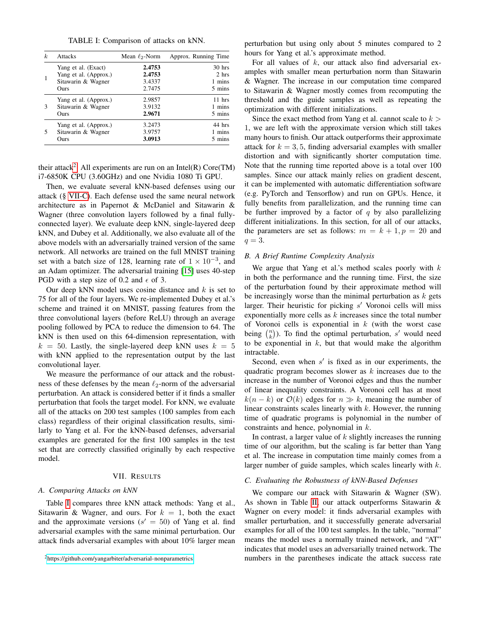TABLE I: Comparison of attacks on kNN.

<span id="page-4-3"></span>

| k | <b>Attacks</b>                              | Mean $\ell_2$ -Norm | Approx. Running Time |
|---|---------------------------------------------|---------------------|----------------------|
|   | Yang et al. (Exact)                         | 2.4753              | $30$ hrs             |
|   | Yang et al. (Approx.)<br>Sitawarin & Wagner | 2.4753<br>3.4337    | 2 hrs<br>1 mins      |
|   | Ours                                        | 2.7475              | 5 mins               |
|   | Yang et al. (Approx.)                       | 2.9857              | $11$ hrs             |
| 3 | Sitawarin & Wagner                          | 3.9132              | 1 mins               |
|   | Ours                                        | 2.9671              | 5 mins               |
|   | Yang et al. (Approx.)                       | 3.2473              | 44 hrs               |
|   | Sitawarin & Wagner                          | 3.9757              | 1 mins               |
|   | Ours                                        | 3.0913              | 5 mins               |

their attack<sup>[2](#page-4-1)</sup>. All experiments are run on an Intel(R) Core(TM) i7-6850K CPU (3.60GHz) and one Nvidia 1080 Ti GPU.

Then, we evaluate several kNN-based defenses using our attack (§ [VII-C\)](#page-4-2). Each defense used the same neural network architecture as in Papernot & McDaniel and Sitawarin & Wagner (three convolution layers followed by a final fullyconnected layer). We evaluate deep kNN, single-layered deep kNN, and Dubey et al. Additionally, we also evaluate all of the above models with an adversarially trained version of the same network. All networks are trained on the full MNIST training set with a batch size of 128, learning rate of  $1 \times 10^{-3}$ , and an Adam optimizer. The adversarial training [\[15\]](#page-6-4) uses 40-step PGD with a step size of 0.2 and  $\epsilon$  of 3.

Our deep kNN model uses cosine distance and  $k$  is set to 75 for all of the four layers. We re-implemented Dubey et al.'s scheme and trained it on MNIST, passing features from the three convolutional layers (before ReLU) through an average pooling followed by PCA to reduce the dimension to 64. The kNN is then used on this 64-dimension representation, with  $k = 50$ . Lastly, the single-layered deep kNN uses  $k = 5$ with kNN applied to the representation output by the last convolutional layer.

We measure the performance of our attack and the robustness of these defenses by the mean  $\ell_2$ -norm of the adversarial perturbation. An attack is considered better if it finds a smaller perturbation that fools the target model. For kNN, we evaluate all of the attacks on 200 test samples (100 samples from each class) regardless of their original classification results, similarly to Yang et al. For the kNN-based defenses, adversarial examples are generated for the first 100 samples in the test set that are correctly classified originally by each respective model.

# VII. RESULTS

# <span id="page-4-0"></span>*A. Comparing Attacks on kNN*

Table [I](#page-4-3) compares three kNN attack methods: Yang et al., Sitawarin & Wagner, and ours. For  $k = 1$ , both the exact and the approximate versions  $(s' = 50)$  of Yang et al. find adversarial examples with the same minimal perturbation. Our attack finds adversarial examples with about 10% larger mean

perturbation but using only about 5 minutes compared to 2 hours for Yang et al.'s approximate method.

For all values of  $k$ , our attack also find adversarial examples with smaller mean perturbation norm than Sitawarin & Wagner. The increase in our computation time compared to Sitawarin & Wagner mostly comes from recomputing the threshold and the guide samples as well as repeating the optimization with different initializations.

Since the exact method from Yang et al. cannot scale to  $k >$ 1, we are left with the approximate version which still takes many hours to finish. Our attack outperforms their approximate attack for  $k = 3, 5$ , finding adversarial examples with smaller distortion and with significantly shorter computation time. Note that the running time reported above is a total over 100 samples. Since our attack mainly relies on gradient descent, it can be implemented with automatic differentiation software (e.g. PyTorch and Tensorflow) and run on GPUs. Hence, it fully benefits from parallelization, and the running time can be further improved by a factor of  $q$  by also parallelizing different initializations. In this section, for all of our attacks, the parameters are set as follows:  $m = k + 1, p = 20$  and  $q=3$ .

#### *B. A Brief Runtime Complexity Analysis*

We argue that Yang et al.'s method scales poorly with  $k$ in both the performance and the running time. First, the size of the perturbation found by their approximate method will be increasingly worse than the minimal perturbation as  $k$  gets larger. Their heuristic for picking  $s'$  Voronoi cells will miss exponentially more cells as  $k$  increases since the total number of Voronoi cells is exponential in  $k$  (with the worst case being  $\binom{n}{k}$ ). To find the optimal perturbation, s' would need to be exponential in  $k$ , but that would make the algorithm intractable.

Second, even when  $s'$  is fixed as in our experiments, the quadratic program becomes slower as  $k$  increases due to the increase in the number of Voronoi edges and thus the number of linear inequality constraints. A Voronoi cell has at most  $k(n - k)$  or  $\mathcal{O}(k)$  edges for  $n \gg k$ , meaning the number of linear constraints scales linearly with  $k$ . However, the running time of quadratic programs is polynomial in the number of constraints and hence, polynomial in k.

In contrast, a larger value of  $k$  slightly increases the running time of our algorithm, but the scaling is far better than Yang et al. The increase in computation time mainly comes from a larger number of guide samples, which scales linearly with  $k$ .

#### <span id="page-4-2"></span>*C. Evaluating the Robustness of kNN-Based Defenses*

We compare our attack with Sitawarin & Wagner (SW). As shown in Table [II,](#page-5-7) our attack outperforms Sitawarin & Wagner on every model: it finds adversarial examples with smaller perturbation, and it successfully generate adversarial examples for all of the 100 test samples. In the table, "normal" means the model uses a normally trained network, and "AT" indicates that model uses an adversarially trained network. The numbers in the parentheses indicate the attack success rate

<span id="page-4-1"></span><sup>2</sup><https://github.com/yangarbiter/adversarial-nonparametrics>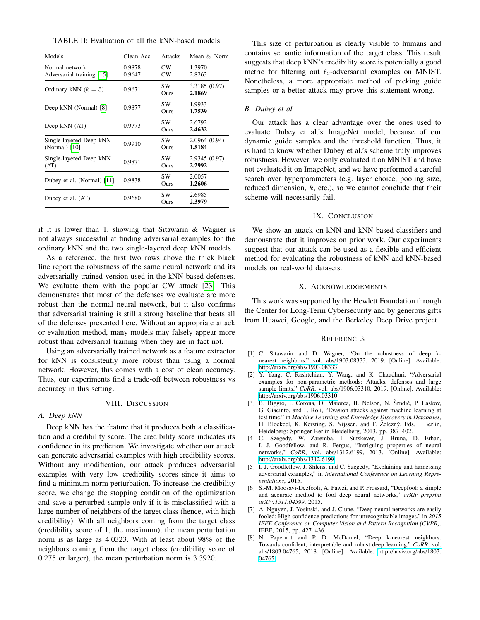<span id="page-5-7"></span>TABLE II: Evaluation of all the kNN-based models

| Models                                      | Clean Acc.       | <b>Attacks</b> | Mean $\ell_2$ -Norm     |
|---------------------------------------------|------------------|----------------|-------------------------|
| Normal network<br>Adversarial training [15] | 0.9878<br>0.9647 | CW<br>CW       | 1.3970<br>2.8263        |
| Ordinary kNN $(k=5)$                        | 0.9671           | SW.<br>Ours    | 3.3185 (0.97)<br>2.1869 |
| Deep kNN (Normal) [8]                       | 0.9877           | SW<br>Ours     | 1.9933<br>1.7539        |
| Deep kNN (AT)                               | 0.9773           | SW<br>Ours     | 2.6792<br>2.4632        |
| Single-layered Deep kNN<br>(Normal) [10]    | 0.9910           | SW<br>Ours     | 2.0964 (0.94)<br>1.5184 |
| Single-layered Deep kNN<br>(AT)             | 0.9871           | SW<br>Ours     | 2.9345 (0.97)<br>2.2992 |
| Dubey et al. (Normal) [11]                  | 0.9838           | SW<br>Ours     | 2.0057<br>1.2606        |
| Dubey et al. (AT)                           | 0.9680           | SW<br>Ours     | 2.6985<br>2.3979        |

if it is lower than 1, showing that Sitawarin & Wagner is not always successful at finding adversarial examples for the ordinary kNN and the two single-layered deep kNN models.

As a reference, the first two rows above the thick black line report the robustness of the same neural network and its adversarially trained version used in the kNN-based defenses. We evaluate them with the popular CW attack [\[23\]](#page-6-13). This demonstrates that most of the defenses we evaluate are more robust than the normal neural network, but it also confirms that adversarial training is still a strong baseline that beats all of the defenses presented here. Without an appropriate attack or evaluation method, many models may falsely appear more robust than adversarial training when they are in fact not.

Using an adversarially trained network as a feature extractor for kNN is consistently more robust than using a normal network. However, this comes with a cost of clean accuracy. Thus, our experiments find a trade-off between robustness vs accuracy in this setting.

#### VIII. DISCUSSION

# *A. Deep kNN*

Deep kNN has the feature that it produces both a classification and a credibility score. The credibility score indicates its confidence in its prediction. We investigate whether our attack can generate adversarial examples with high credibility scores. Without any modification, our attack produces adversarial examples with very low credibility scores since it aims to find a minimum-norm perturbation. To increase the credibility score, we change the stopping condition of the optimization and save a perturbed sample only if it is misclassified with a large number of neighbors of the target class (hence, with high credibility). With all neighbors coming from the target class (credibility score of 1, the maximum), the mean perturbation norm is as large as 4.0323. With at least about 98% of the neighbors coming from the target class (credibility score of 0.275 or larger), the mean perturbation norm is 3.3920.

This size of perturbation is clearly visible to humans and contains semantic information of the target class. This result suggests that deep kNN's credibility score is potentially a good metric for filtering out  $\ell_2$ -adversarial examples on MNIST. Nonetheless, a more appropriate method of picking guide samples or a better attack may prove this statement wrong.

#### *B. Dubey et al.*

Our attack has a clear advantage over the ones used to evaluate Dubey et al.'s ImageNet model, because of our dynamic guide samples and the threshold function. Thus, it is hard to know whether Dubey et al.'s scheme truly improves robustness. However, we only evaluated it on MNIST and have not evaluated it on ImageNet, and we have performed a careful search over hyperparameters (e.g. layer choice, pooling size, reduced dimension,  $k$ , etc.), so we cannot conclude that their scheme will necessarily fail.

# IX. CONCLUSION

We show an attack on kNN and kNN-based classifiers and demonstrate that it improves on prior work. Our experiments suggest that our attack can be used as a flexible and efficient method for evaluating the robustness of kNN and kNN-based models on real-world datasets.

### X. ACKNOWLEDGEMENTS

This work was supported by the Hewlett Foundation through the Center for Long-Term Cybersecurity and by generous gifts from Huawei, Google, and the Berkeley Deep Drive project.

#### **REFERENCES**

- <span id="page-5-0"></span>[1] C. Sitawarin and D. Wagner, "On the robustness of deep knearest neighbors," vol. abs/1903.08333, 2019. [Online]. Available: <http://arxiv.org/abs/1903.08333>
- <span id="page-5-1"></span>[2] Y. Yang, C. Rashtchian, Y. Wang, and K. Chaudhuri, "Adversarial examples for non-parametric methods: Attacks, defenses and large sample limits," CoRR, vol. abs/1906.03310, 2019. [Online]. Available: <http://arxiv.org/abs/1906.03310>
- <span id="page-5-2"></span>[3] B. Biggio, I. Corona, D. Maiorca, B. Nelson, N. Šrndić, P. Laskov, G. Giacinto, and F. Roli, "Evasion attacks against machine learning at test time," in *Machine Learning and Knowledge Discovery in Databases*, H. Blockeel, K. Kersting, S. Nijssen, and F. Železný, Eds. Berlin, Heidelberg: Springer Berlin Heidelberg, 2013, pp. 387–402.
- <span id="page-5-5"></span>[4] C. Szegedy, W. Zaremba, I. Sutskever, J. Bruna, D. Erhan, I. J. Goodfellow, and R. Fergus, "Intriguing properties of neural networks," *CoRR*, vol. abs/1312.6199, 2013. [Online]. Available: <http://arxiv.org/abs/1312.6199>
- <span id="page-5-6"></span>[5] I. J. Goodfellow, J. Shlens, and C. Szegedy, "Explaining and harnessing adversarial examples," in *International Conference on Learning Representations*, 2015.
- [6] S.-M. Moosavi-Dezfooli, A. Fawzi, and P. Frossard, "Deepfool: a simple and accurate method to fool deep neural networks," *arXiv preprint arXiv:1511.04599*, 2015.
- <span id="page-5-3"></span>[7] A. Nguyen, J. Yosinski, and J. Clune, "Deep neural networks are easily fooled: High confidence predictions for unrecognizable images," in *2015 IEEE Conference on Computer Vision and Pattern Recognition (CVPR)*. IEEE, 2015, pp. 427–436.
- <span id="page-5-4"></span>[8] N. Papernot and P. D. McDaniel, "Deep k-nearest neighbors: Towards confident, interpretable and robust deep learning," *CoRR*, vol. abs/1803.04765, 2018. [Online]. Available: [http://arxiv.org/abs/1803.](http://arxiv.org/abs/1803.04765) [04765](http://arxiv.org/abs/1803.04765)